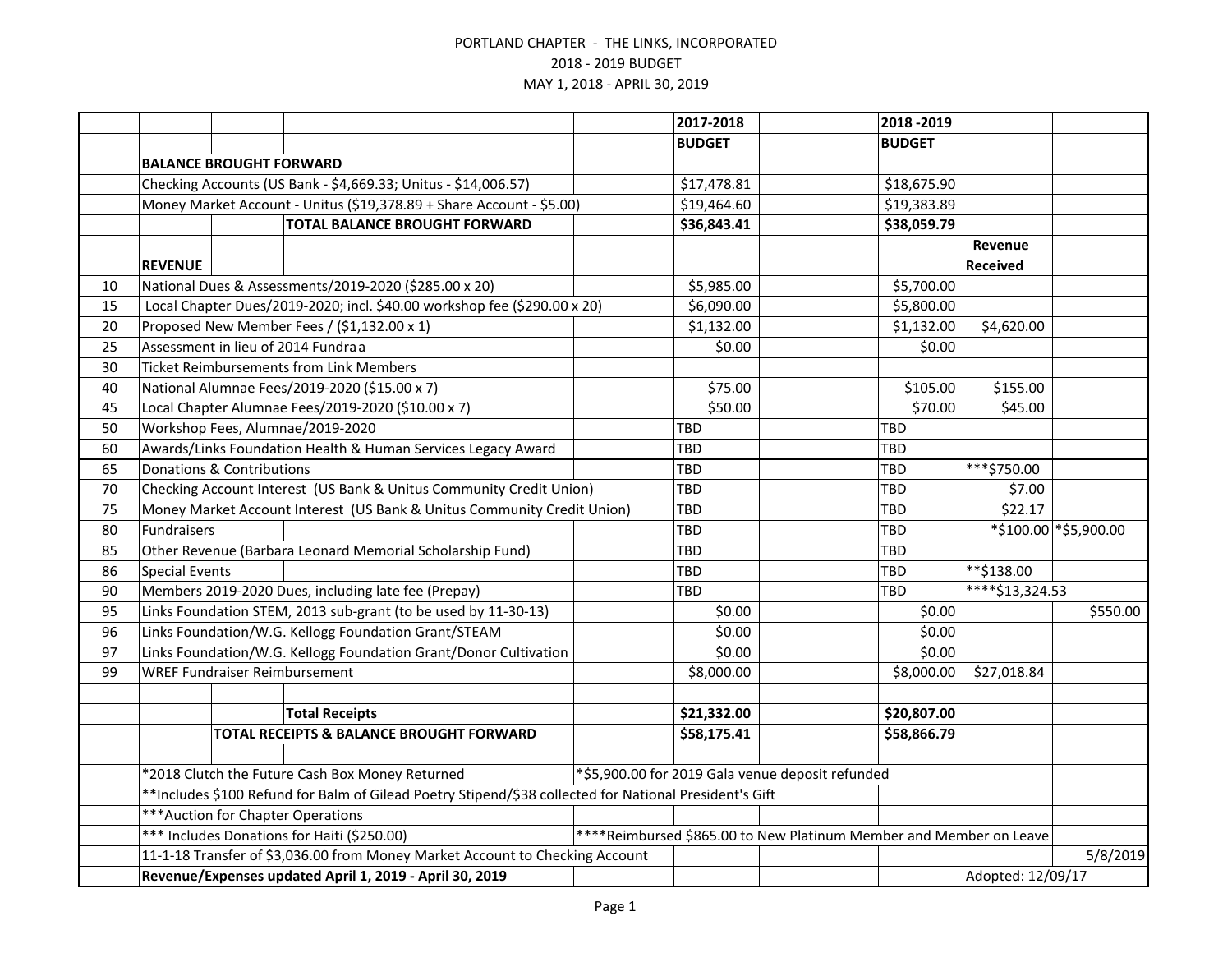|    |                                                                                                                   |                                      |                       |                                                                          | 2017-2018 |               | 2018 - 2019                                      |               |                              |                        |
|----|-------------------------------------------------------------------------------------------------------------------|--------------------------------------|-----------------------|--------------------------------------------------------------------------|-----------|---------------|--------------------------------------------------|---------------|------------------------------|------------------------|
|    |                                                                                                                   |                                      |                       |                                                                          |           | <b>BUDGET</b> |                                                  | <b>BUDGET</b> |                              |                        |
|    | <b>BALANCE BROUGHT FORWARD</b>                                                                                    |                                      |                       |                                                                          |           |               |                                                  |               |                              |                        |
|    |                                                                                                                   |                                      |                       | Checking Accounts (US Bank - \$4,669.33; Unitus - \$14,006.57)           |           | \$17,478.81   |                                                  | \$18,675.90   |                              |                        |
|    |                                                                                                                   |                                      |                       | Money Market Account - Unitus (\$19,378.89 + Share Account - \$5.00)     |           | \$19,464.60   |                                                  | \$19,383.89   |                              |                        |
|    | <b>TOTAL BALANCE BROUGHT FORWARD</b>                                                                              |                                      |                       |                                                                          |           | \$36,843.41   |                                                  | \$38,059.79   |                              |                        |
|    |                                                                                                                   |                                      |                       |                                                                          |           |               |                                                  |               | Revenue                      |                        |
|    | <b>REVENUE</b>                                                                                                    |                                      |                       |                                                                          |           |               |                                                  |               | <b>Received</b>              |                        |
| 10 |                                                                                                                   |                                      |                       | National Dues & Assessments/2019-2020 (\$285.00 x 20)                    |           | \$5,985.00    |                                                  | \$5,700.00    |                              |                        |
| 15 |                                                                                                                   |                                      |                       | Local Chapter Dues/2019-2020; incl. \$40.00 workshop fee (\$290.00 x 20) |           | \$6,090.00    |                                                  | \$5,800.00    |                              |                        |
| 20 |                                                                                                                   |                                      |                       | Proposed New Member Fees / (\$1,132.00 x 1)                              |           | \$1,132.00    |                                                  | \$1,132.00    | \$4,620.00                   |                        |
| 25 | Assessment in lieu of 2014 Fundraa                                                                                |                                      |                       |                                                                          |           | \$0.00        |                                                  | \$0.00        |                              |                        |
| 30 | <b>Ticket Reimbursements from Link Members</b>                                                                    |                                      |                       |                                                                          |           |               |                                                  |               |                              |                        |
| 40 |                                                                                                                   |                                      |                       | National Alumnae Fees/2019-2020 (\$15.00 x 7)                            |           | \$75.00       |                                                  | \$105.00      | \$155.00                     |                        |
| 45 |                                                                                                                   |                                      |                       | Local Chapter Alumnae Fees/2019-2020 (\$10.00 x 7)                       |           | \$50.00       |                                                  | \$70.00       | \$45.00                      |                        |
| 50 |                                                                                                                   | Workshop Fees, Alumnae/2019-2020     |                       |                                                                          |           | TBD           |                                                  | TBD           |                              |                        |
| 60 |                                                                                                                   |                                      |                       | Awards/Links Foundation Health & Human Services Legacy Award             |           | TBD           |                                                  | <b>TBD</b>    |                              |                        |
| 65 | <b>Donations &amp; Contributions</b>                                                                              |                                      |                       |                                                                          |           | TBD           |                                                  | TBD           | ***\$750.00                  |                        |
| 70 | Checking Account Interest (US Bank & Unitus Community Credit Union)                                               |                                      |                       |                                                                          |           | TBD           |                                                  | <b>TBD</b>    | \$7.00                       |                        |
| 75 | Money Market Account Interest (US Bank & Unitus Community Credit Union)                                           |                                      |                       |                                                                          |           | TBD           |                                                  | <b>TBD</b>    | \$22.17                      |                        |
| 80 | Fundraisers                                                                                                       |                                      |                       |                                                                          |           | TBD           |                                                  | <b>TBD</b>    |                              | *\$100.00 * \$5,900.00 |
| 85 |                                                                                                                   |                                      |                       | Other Revenue (Barbara Leonard Memorial Scholarship Fund)                |           | TBD           |                                                  | <b>TBD</b>    |                              |                        |
| 86 | <b>Special Events</b>                                                                                             |                                      |                       |                                                                          |           | TBD           |                                                  | TBD           | **\$138.00                   |                        |
| 90 |                                                                                                                   |                                      |                       | Members 2019-2020 Dues, including late fee (Prepay)                      |           | TBD           |                                                  | TBD           | $\overline{***}$ \$13,324.53 |                        |
| 95 |                                                                                                                   |                                      |                       | Links Foundation STEM, 2013 sub-grant (to be used by 11-30-13)           |           | \$0.00        |                                                  | \$0.00        |                              | \$550.00               |
| 96 |                                                                                                                   |                                      |                       | Links Foundation/W.G. Kellogg Foundation Grant/STEAM                     |           | \$0.00        |                                                  | \$0.00        |                              |                        |
| 97 |                                                                                                                   |                                      |                       | Links Foundation/W.G. Kellogg Foundation Grant/Donor Cultivation         |           | \$0.00        |                                                  | \$0.00        |                              |                        |
| 99 |                                                                                                                   | <b>WREF Fundraiser Reimbursement</b> |                       |                                                                          |           | \$8,000.00    |                                                  | \$8,000.00    | \$27,018.84                  |                        |
|    |                                                                                                                   |                                      |                       |                                                                          |           |               |                                                  |               |                              |                        |
|    |                                                                                                                   |                                      | <b>Total Receipts</b> |                                                                          |           | \$21,332.00   |                                                  | \$20,807.00   |                              |                        |
|    |                                                                                                                   |                                      |                       | TOTAL RECEIPTS & BALANCE BROUGHT FORWARD                                 |           | \$58,175.41   |                                                  | \$58,866.79   |                              |                        |
|    |                                                                                                                   |                                      |                       |                                                                          |           |               |                                                  |               |                              |                        |
|    |                                                                                                                   |                                      |                       | *2018 Clutch the Future Cash Box Money Returned                          |           |               | *\$5,900.00 for 2019 Gala venue deposit refunded |               |                              |                        |
|    | **Includes \$100 Refund for Balm of Gilead Poetry Stipend/\$38 collected for National President's Gift            |                                      |                       |                                                                          |           |               |                                                  |               |                              |                        |
|    | *** Auction for Chapter Operations                                                                                |                                      |                       |                                                                          |           |               |                                                  |               |                              |                        |
|    | ****Reimbursed \$865.00 to New Platinum Member and Member on Leave<br>*** Includes Donations for Haiti (\$250.00) |                                      |                       |                                                                          |           |               |                                                  |               |                              |                        |
|    | 11-1-18 Transfer of \$3,036.00 from Money Market Account to Checking Account                                      |                                      |                       |                                                                          |           |               |                                                  | 5/8/2019      |                              |                        |
|    |                                                                                                                   |                                      |                       | Revenue/Expenses updated April 1, 2019 - April 30, 2019                  |           |               |                                                  |               | Adopted: 12/09/17            |                        |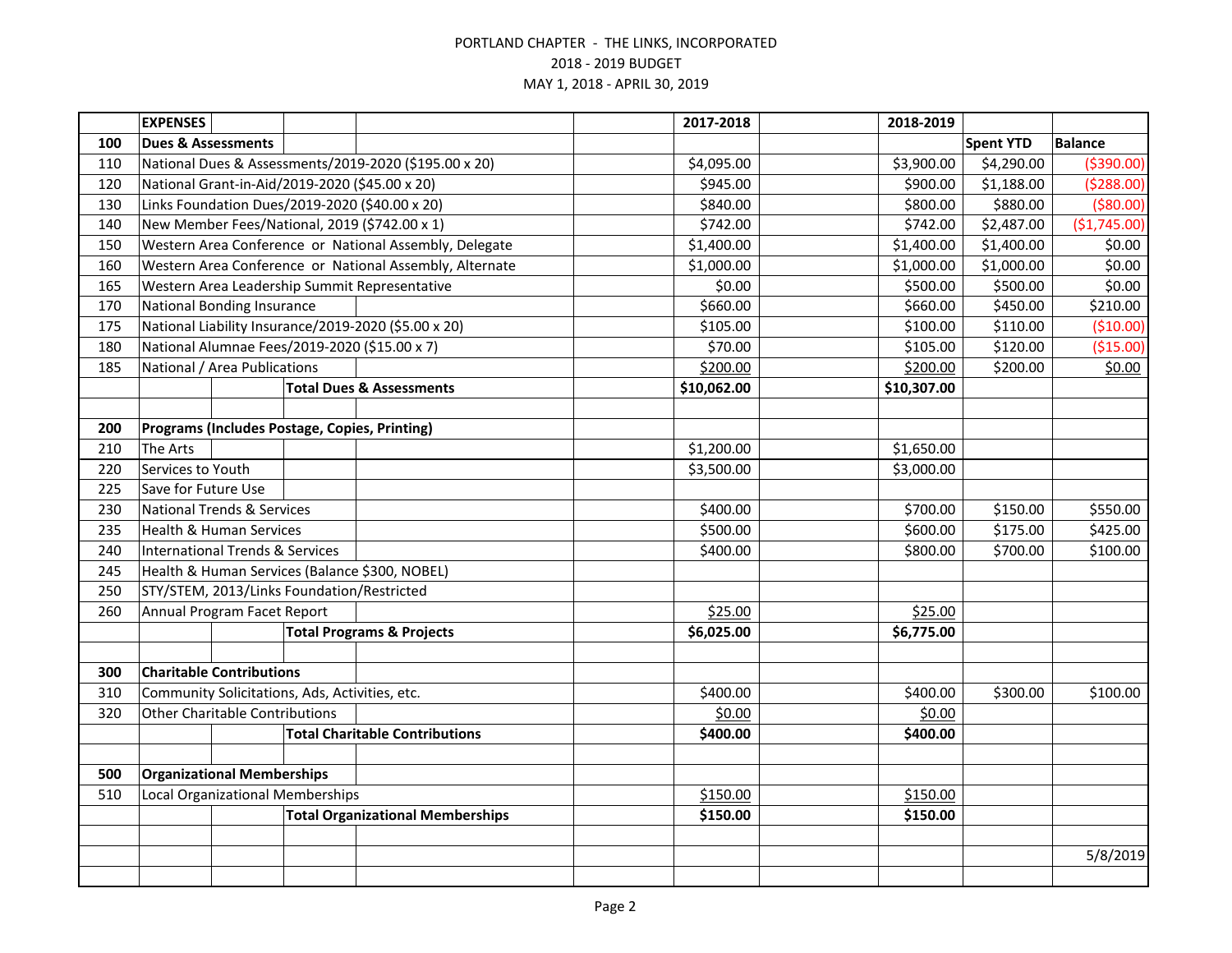|                                          | <b>EXPENSES</b>                            |  |                                                |                                                         | 2017-2018   | 2018-2019   |                  |                |
|------------------------------------------|--------------------------------------------|--|------------------------------------------------|---------------------------------------------------------|-------------|-------------|------------------|----------------|
| 100                                      | <b>Dues &amp; Assessments</b>              |  |                                                |                                                         |             |             | <b>Spent YTD</b> | <b>Balance</b> |
| 110                                      |                                            |  |                                                | National Dues & Assessments/2019-2020 (\$195.00 x 20)   | \$4,095.00  | \$3,900.00  | \$4,290.00       | ( \$390.00)    |
| 120                                      |                                            |  |                                                | National Grant-in-Aid/2019-2020 (\$45.00 x 20)          | \$945.00    | \$900.00    | \$1,188.00       | (5288.00)      |
| 130                                      |                                            |  |                                                | Links Foundation Dues/2019-2020 (\$40.00 x 20)          | \$840.00    | \$800.00    | \$880.00         | ( \$80.00)     |
| 140                                      |                                            |  |                                                | New Member Fees/National, 2019 (\$742.00 x 1)           | \$742.00    | \$742.00    | \$2,487.00       | (\$1,745.00)   |
| 150                                      |                                            |  |                                                | Western Area Conference or National Assembly, Delegate  | \$1,400.00  | \$1,400.00  | \$1,400.00       | \$0.00         |
| 160                                      |                                            |  |                                                | Western Area Conference or National Assembly, Alternate | \$1,000.00  | \$1,000.00  | \$1,000.00       | \$0.00         |
| 165                                      |                                            |  |                                                | Western Area Leadership Summit Representative           | \$0.00      | \$500.00    | \$500.00         | \$0.00         |
| 170                                      | <b>National Bonding Insurance</b>          |  |                                                |                                                         | \$660.00    | \$660.00    | \$450.00         | \$210.00       |
| 175                                      |                                            |  |                                                | National Liability Insurance/2019-2020 (\$5.00 x 20)    | \$105.00    | \$100.00    | \$110.00         | (\$10.00)      |
| 180                                      |                                            |  |                                                | National Alumnae Fees/2019-2020 (\$15.00 x 7)           | \$70.00     | \$105.00    | \$120.00         | (\$15.00)      |
| 185                                      | National / Area Publications               |  |                                                |                                                         | \$200.00    | \$200.00    | \$200.00         | \$0.00         |
|                                          |                                            |  |                                                | <b>Total Dues &amp; Assessments</b>                     | \$10,062.00 | \$10,307.00 |                  |                |
|                                          |                                            |  |                                                |                                                         |             |             |                  |                |
| 200                                      |                                            |  |                                                | Programs (Includes Postage, Copies, Printing)           |             |             |                  |                |
| 210                                      | <b>The Arts</b>                            |  |                                                |                                                         | \$1,200.00  | \$1,650.00  |                  |                |
| 220                                      | Services to Youth                          |  |                                                |                                                         | \$3,500.00  | \$3,000.00  |                  |                |
| 225                                      | Save for Future Use                        |  |                                                |                                                         |             |             |                  |                |
| 230                                      | <b>National Trends &amp; Services</b>      |  |                                                |                                                         | \$400.00    | \$700.00    | \$150.00         | \$550.00       |
| 235                                      | <b>Health &amp; Human Services</b>         |  |                                                |                                                         | \$500.00    | \$600.00    | \$175.00         | \$425.00       |
| 240                                      | <b>International Trends &amp; Services</b> |  |                                                |                                                         | \$400.00    | \$800.00    | \$700.00         | \$100.00       |
| 245                                      |                                            |  |                                                | Health & Human Services (Balance \$300, NOBEL)          |             |             |                  |                |
| 250                                      | STY/STEM, 2013/Links Foundation/Restricted |  |                                                |                                                         |             |             |                  |                |
| 260                                      | Annual Program Facet Report                |  |                                                | \$25.00                                                 | \$25.00     |             |                  |                |
|                                          |                                            |  |                                                | <b>Total Programs &amp; Projects</b>                    | \$6,025.00  | \$6,775.00  |                  |                |
|                                          |                                            |  |                                                |                                                         |             |             |                  |                |
| 300                                      | <b>Charitable Contributions</b>            |  |                                                |                                                         |             |             |                  |                |
| 310                                      |                                            |  | Community Solicitations, Ads, Activities, etc. |                                                         | \$400.00    | \$400.00    | \$300.00         | \$100.00       |
| 320                                      | <b>Other Charitable Contributions</b>      |  |                                                |                                                         | \$0.00      | \$0.00      |                  |                |
|                                          |                                            |  |                                                | <b>Total Charitable Contributions</b>                   | \$400.00    | \$400.00    |                  |                |
|                                          |                                            |  |                                                |                                                         |             |             |                  |                |
| <b>Organizational Memberships</b><br>500 |                                            |  |                                                |                                                         |             |             |                  |                |
| 510                                      | <b>Local Organizational Memberships</b>    |  |                                                |                                                         | \$150.00    | \$150.00    |                  |                |
|                                          | <b>Total Organizational Memberships</b>    |  |                                                | \$150.00                                                | \$150.00    |             |                  |                |
|                                          |                                            |  |                                                |                                                         |             |             |                  |                |
|                                          |                                            |  |                                                |                                                         |             |             |                  | 5/8/2019       |
|                                          |                                            |  |                                                |                                                         |             |             |                  |                |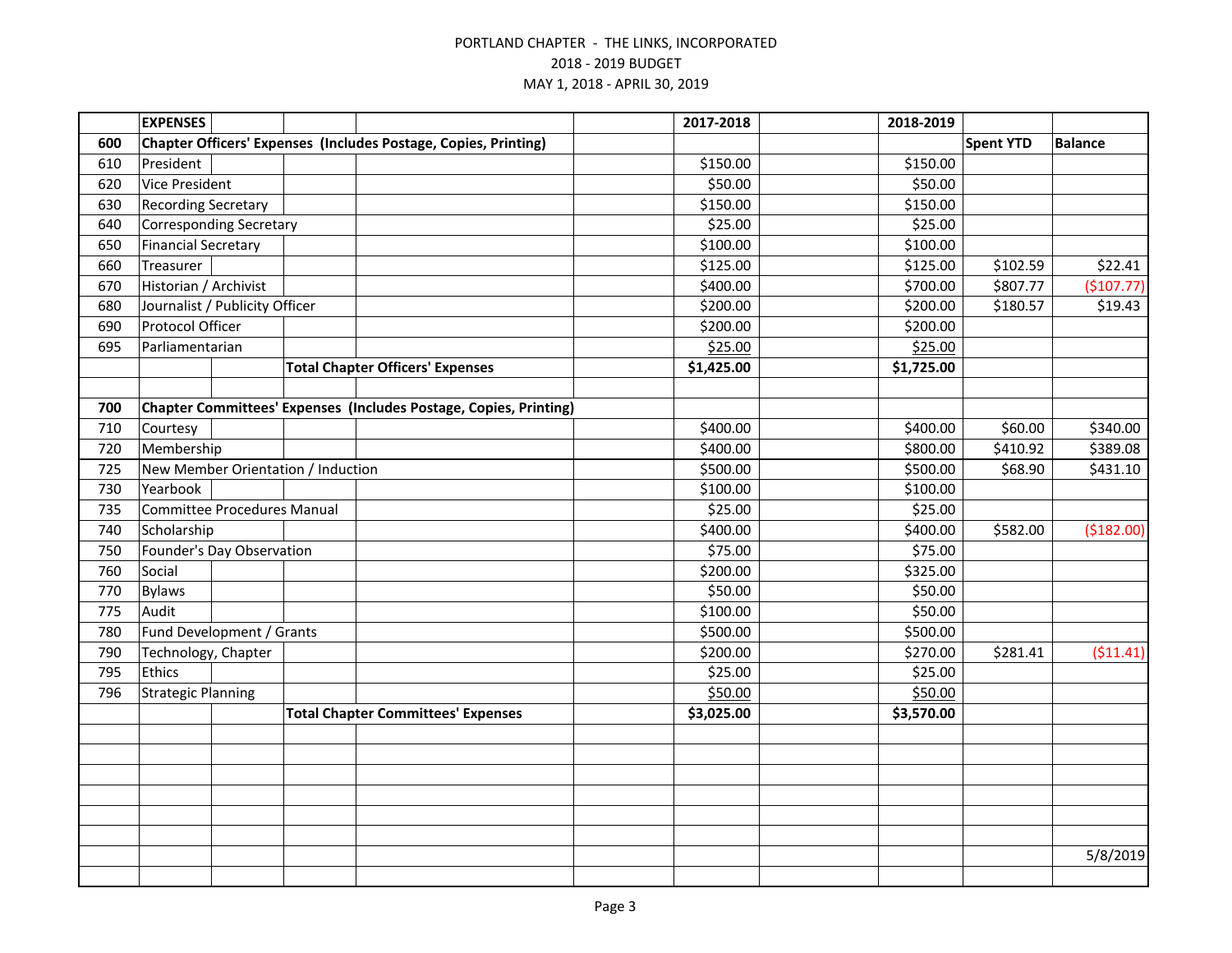|     | <b>EXPENSES</b>                    |  |  |                                                                   | 2017-2018  | 2018-2019  |                  |                |
|-----|------------------------------------|--|--|-------------------------------------------------------------------|------------|------------|------------------|----------------|
| 600 |                                    |  |  | Chapter Officers' Expenses (Includes Postage, Copies, Printing)   |            |            | <b>Spent YTD</b> | <b>Balance</b> |
| 610 | President                          |  |  |                                                                   | \$150.00   | \$150.00   |                  |                |
| 620 | <b>Vice President</b>              |  |  |                                                                   | \$50.00    | \$50.00    |                  |                |
| 630 | <b>Recording Secretary</b>         |  |  |                                                                   | \$150.00   | \$150.00   |                  |                |
| 640 | <b>Corresponding Secretary</b>     |  |  | \$25.00                                                           | \$25.00    |            |                  |                |
| 650 | <b>Financial Secretary</b>         |  |  |                                                                   | \$100.00   | \$100.00   |                  |                |
| 660 | Treasurer                          |  |  |                                                                   | \$125.00   | \$125.00   | \$102.59         | \$22.41        |
| 670 | Historian / Archivist              |  |  |                                                                   | \$400.00   | \$700.00   | \$807.77         | (\$107.77)     |
| 680 | Journalist / Publicity Officer     |  |  |                                                                   | \$200.00   | \$200.00   | \$180.57         | \$19.43        |
| 690 | Protocol Officer                   |  |  |                                                                   | \$200.00   | \$200.00   |                  |                |
| 695 | Parliamentarian                    |  |  |                                                                   | \$25.00    | \$25.00    |                  |                |
|     |                                    |  |  | <b>Total Chapter Officers' Expenses</b>                           | \$1,425.00 | \$1,725.00 |                  |                |
|     |                                    |  |  |                                                                   |            |            |                  |                |
| 700 |                                    |  |  | Chapter Committees' Expenses (Includes Postage, Copies, Printing) |            |            |                  |                |
| 710 | Courtesy                           |  |  |                                                                   | \$400.00   | \$400.00   | \$60.00          | \$340.00       |
| 720 | Membership                         |  |  |                                                                   | \$400.00   | \$800.00   | \$410.92         | \$389.08       |
| 725 | New Member Orientation / Induction |  |  |                                                                   | \$500.00   | \$500.00   | \$68.90          | \$431.10       |
| 730 | Yearbook                           |  |  |                                                                   | \$100.00   | \$100.00   |                  |                |
| 735 | <b>Committee Procedures Manual</b> |  |  |                                                                   | \$25.00    | \$25.00    |                  |                |
| 740 | Scholarship                        |  |  |                                                                   | \$400.00   | \$400.00   | \$582.00         | (\$182.00)     |
| 750 | Founder's Day Observation          |  |  |                                                                   | \$75.00    | \$75.00    |                  |                |
| 760 | Social                             |  |  |                                                                   | \$200.00   | \$325.00   |                  |                |
| 770 | <b>Bylaws</b>                      |  |  |                                                                   | \$50.00    | \$50.00    |                  |                |
| 775 | Audit                              |  |  |                                                                   | \$100.00   | \$50.00    |                  |                |
| 780 | Fund Development / Grants          |  |  |                                                                   | \$500.00   | \$500.00   |                  |                |
| 790 | Technology, Chapter                |  |  |                                                                   | \$200.00   | \$270.00   | \$281.41         | (511.41)       |
| 795 | <b>Ethics</b>                      |  |  |                                                                   | \$25.00    | \$25.00    |                  |                |
| 796 | <b>Strategic Planning</b>          |  |  |                                                                   | \$50.00    | \$50.00    |                  |                |
|     |                                    |  |  | <b>Total Chapter Committees' Expenses</b>                         | \$3,025.00 | \$3,570.00 |                  |                |
|     |                                    |  |  |                                                                   |            |            |                  |                |
|     |                                    |  |  |                                                                   |            |            |                  |                |
|     |                                    |  |  |                                                                   |            |            |                  |                |
|     |                                    |  |  |                                                                   |            |            |                  |                |
|     |                                    |  |  |                                                                   |            |            |                  |                |
|     |                                    |  |  |                                                                   |            |            |                  |                |
|     |                                    |  |  |                                                                   |            |            |                  | 5/8/2019       |
|     |                                    |  |  |                                                                   |            |            |                  |                |